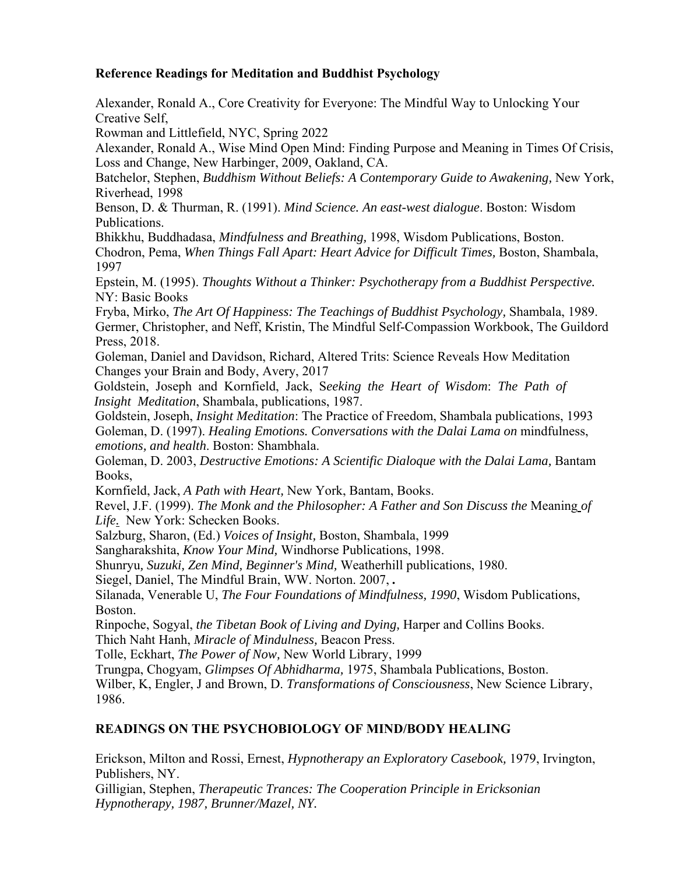## **Reference Readings for Meditation and Buddhist Psychology**

Alexander, Ronald A., Core Creativity for Everyone: The Mindful Way to Unlocking Your Creative Self,

Rowman and Littlefield, NYC, Spring 2022

Alexander, Ronald A., Wise Mind Open Mind: Finding Purpose and Meaning in Times Of Crisis, Loss and Change, New Harbinger, 2009, Oakland, CA.

Batchelor, Stephen, *Buddhism Without Beliefs: A Contemporary Guide to Awakening*, New York, Riverhead, 1998

Benson, D. & Thurman, R. (1991). *Mind Science. An east-west dialogue*. Boston: Wisdom Publications.

Bhikkhu, Buddhadasa, *Mindfulness and Breathing,* 1998, Wisdom Publications, Boston.

Chodron, Pema, *When Things Fall Apart: Heart Advice for Difficult Times,* Boston, Shambala, 1997

Epstein, M. (1995). *Thoughts Without a Thinker: Psychotherapy from a Buddhist Perspective.* NY: Basic Books

Fryba, Mirko, *The Art Of Happiness: The Teachings of Buddhist Psychology,* Shambala, 1989. Germer, Christopher, and Neff, Kristin, The Mindful Self-Compassion Workbook, The Guildord Press, 2018.

Goleman, Daniel and Davidson, Richard, Altered Trits: Science Reveals How Meditation Changes your Brain and Body, Avery, 2017

Goldstein, Joseph and Kornfield, Jack, S*eeking the Heart of Wisdom*: *The Path of Insight Meditation*, Shambala, publications, 1987.

Goldstein, Joseph, *Insight Meditation*: The Practice of Freedom, Shambala publications, 1993 Goleman, D. (1997). *Healing Emotions. Conversations with the Dalai Lama on* mindfulness, *emotions, and health*. Boston: Shambhala.

Goleman, D. 2003, *Destructive Emotions: A Scientific Dialoque with the Dalai Lama*, Bantam Books,

Kornfield, Jack, *A Path with Heart,* New York, Bantam, Books.

Revel, J.F. (1999). *The Monk and the Philosopher: A Father and Son Discuss the* Meaning *of Life.* New York: Schecken Books.

Salzburg, Sharon, (Ed.) *Voices of Insight,* Boston, Shambala, 1999

Sangharakshita, *Know Your Mind,* Windhorse Publications, 1998.

Shunryu*, Suzuki, Zen Mind, Beginner's Mind,* Weatherhill publications, 1980.

Siegel, Daniel, The Mindful Brain, WW. Norton. 2007, *.* 

Silanada, Venerable U, *The Four Foundations of Mindfulness, 1990*, Wisdom Publications, Boston.

Rinpoche, Sogyal, *the Tibetan Book of Living and Dying,* Harper and Collins Books.

Thich Naht Hanh, *Miracle of Mindulness,* Beacon Press.

Tolle, Eckhart, *The Power of Now,* New World Library, 1999

Trungpa, Chogyam, *Glimpses Of Abhidharma,* 1975, Shambala Publications, Boston.

Wilber, K, Engler, J and Brown, D. *Transformations of Consciousness*, New Science Library, 1986.

## **READINGS ON THE PSYCHOBIOLOGY OF MIND/BODY HEALING**

Erickson, Milton and Rossi, Ernest, *Hypnotherapy an Exploratory Casebook,* 1979, Irvington, Publishers, NY.

Gilligian, Stephen, *Therapeutic Trances: The Cooperation Principle in Ericksonian Hypnotherapy, 1987, Brunner/Mazel, NY.*